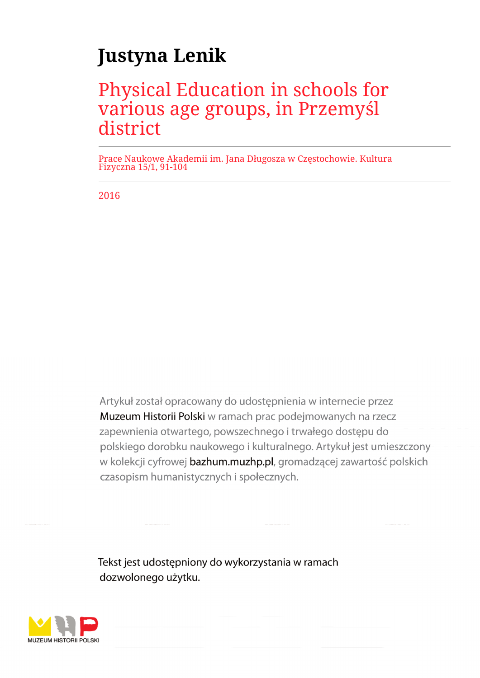# **Justyna Lenik**

## Physical Education in schools for various age groups, in Przemyśl district

Prace Naukowe Akademii im. Jana Długosza w Częstochowie. Kultura Fizyczna 15/1, 91-104

2016

Artykuł został opracowany do udostępnienia w internecie przez Muzeum Historii Polski w ramach prac podejmowanych na rzecz zapewnienia otwartego, powszechnego i trwałego dostępu do polskiego dorobku naukowego i kulturalnego. Artykuł jest umieszczony w kolekcji cyfrowej bazhum.muzhp.pl, gromadzącej zawartość polskich czasopism humanistycznych i społecznych.

Tekst jest udostępniony do wykorzystania w ramach dozwolonego użytku.

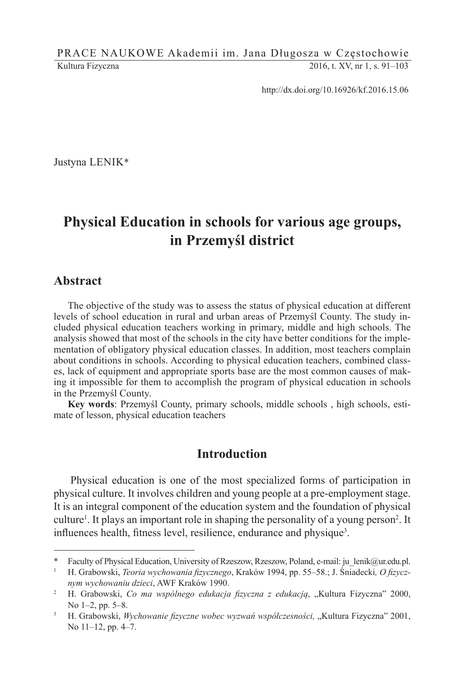PRACE NAUKOWE Akademii im. Jana Długosza w Częstochowie Kultura Fizyczna 2016, t. XV, nr 1, s. 91–103

http://dx.doi.org/10.16926/kf.2016.15.06

Justyna LENIK\*

## **Physical Education in schools for various age groups, in Przemyśl district**

#### **Abstract**

The objective of the study was to assess the status of physical education at different levels of school education in rural and urban areas of Przemyśl County. The study included physical education teachers working in primary, middle and high schools. The analysis showed that most of the schools in the city have better conditions for the implementation of obligatory physical education classes. In addition, most teachers complain about conditions in schools. According to physical education teachers, combined classes, lack of equipment and appropriate sports base are the most common causes of making it impossible for them to accomplish the program of physical education in schools in the Przemyśl County.

**Key words**: Przemyśl County, primary schools, middle schools , high schools, estimate of lesson, physical education teachers

### **Introduction**

Physical education is one of the most specialized forms of participation in physical culture. It involves children and young people at a pre-employment stage. It is an integral component of the education system and the foundation of physical culture<sup>1</sup>. It plays an important role in shaping the personality of a young person<sup>2</sup>. It influences health, fitness level, resilience, endurance and physique<sup>3</sup>.

<sup>\*</sup> Faculty of Physical Education, University of Rzeszow, Rzeszow, Poland, e-mail: ju\_lenik@ur.edu.pl.

<sup>1</sup> H. Grabowski, *Teoria wychowania fizycznego*, Kraków 1994, pp. 55–58.; J. Śniadecki*, O fizycznym wychowaniu dzieci*, AWF Kraków 1990.

<sup>&</sup>lt;sup>2</sup> H. Grabowski, *Co ma wspólnego edukacja fizyczna z edukacją*, "Kultura Fizyczna" 2000, No 1–2, pp. 5–8.

<sup>3</sup> H. Grabowski, *Wychowanie fizyczne wobec wyzwań współczesności,* "Kultura Fizyczna" 2001, No 11–12, pp. 4–7.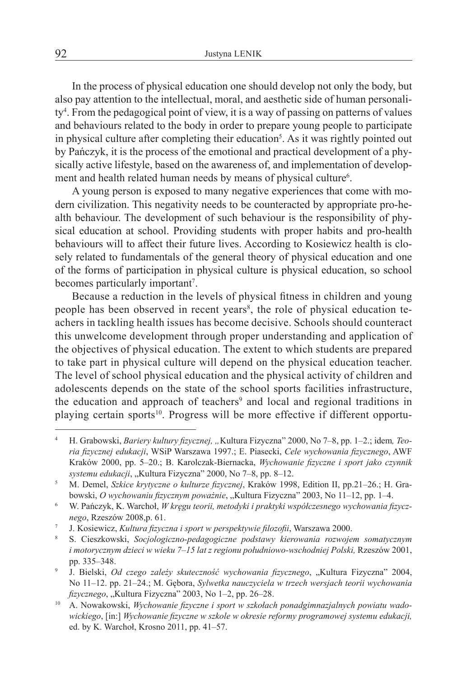In the process of physical education one should develop not only the body, but also pay attention to the intellectual, moral, and aesthetic side of human personality<sup>4</sup> . From the pedagogical point of view, it is a way of passing on patterns of values and behaviours related to the body in order to prepare young people to participate in physical culture after completing their education<sup>5</sup>. As it was rightly pointed out by Pańczyk, it is the process of the emotional and practical development of a physically active lifestyle, based on the awareness of, and implementation of development and health related human needs by means of physical culture<sup>6</sup>.

A young person is exposed to many negative experiences that come with modern civilization. This negativity needs to be counteracted by appropriate pro-health behaviour. The development of such behaviour is the responsibility of physical education at school. Providing students with proper habits and pro-health behaviours will to affect their future lives. According to Kosiewicz health is closely related to fundamentals of the general theory of physical education and one of the forms of participation in physical culture is physical education, so school becomes particularly important<sup>7</sup>.

Because a reduction in the levels of physical fitness in children and young people has been observed in recent years<sup>8</sup>, the role of physical education teachers in tackling health issues has become decisive. Schools should counteract this unwelcome development through proper understanding and application of the objectives of physical education. The extent to which students are prepared to take part in physical culture will depend on the physical education teacher. The level of school physical education and the physical activity of children and adolescents depends on the state of the school sports facilities infrastructure, the education and approach of teachers<sup>9</sup> and local and regional traditions in playing certain sports<sup>10</sup>. Progress will be more effective if different opportu-

H. Grabowski, *Bariery kultury fizycznej*, "Kultura Fizyczna" 2000, No 7-8, pp. 1-2.; idem, Teo*ria fizycznej edukacji*, WSiP Warszawa 1997.; E. Piasecki, *Cele wychowania fizycznego*, AWF Kraków 2000, pp. 5–20.; B. Karolczak-Biernacka, *Wychowanie fizyczne i sport jako czynnik*  systemu edukacji, "Kultura Fizyczna" 2000, No 7–8, pp. 8–12.

<sup>5</sup> M. Demel, *Szkice krytyczne o kulturze fizycznej*, Kraków 1998, Edition II, pp.21–26.; H. Grabowski, *O wychowaniu fizycznym poważnie*, "Kultura Fizyczna" 2003, No 11–12, pp. 1–4.

<sup>6</sup> W. Pańczyk, K. Warchoł, *W kręgu teorii, metodyki i praktyki współczesnego wychowania fizycznego*, Rzeszów 2008,p. 61.

<sup>7</sup> J. Kosiewicz, *Kultura fizyczna i sport w perspektywie filozofii*, Warszawa 2000.

<sup>8</sup> S. Cieszkowski, *Socjologiczno-pedagogiczne podstawy kierowania rozwojem somatycznym i motorycznym dzieci w wieku 7–15 lat z regionu południowo-wschodniej Polski,* Rzeszów 2001, pp. 335–348.

<sup>&</sup>lt;sup>9</sup> J. Bielski, *Od czego zależy skuteczność wychowania fizycznego*, "Kultura Fizyczna" 2004, No 11–12. pp. 21–24.; M. Gębora, *Sylwetka nauczyciela w trzech wersjach teorii wychowania fizycznego*, "Kultura Fizyczna" 2003, No 1-2, pp. 26-28.

<sup>10</sup> A. Nowakowski, *Wychowanie fizyczne i sport w szkołach ponadgimnazjalnych powiatu wadowickiego*, [in:] *Wychowanie fizyczne w szkole w okresie reformy programowej systemu edukacji,* ed. by K. Warchoł, Krosno 2011, pp. 41–57.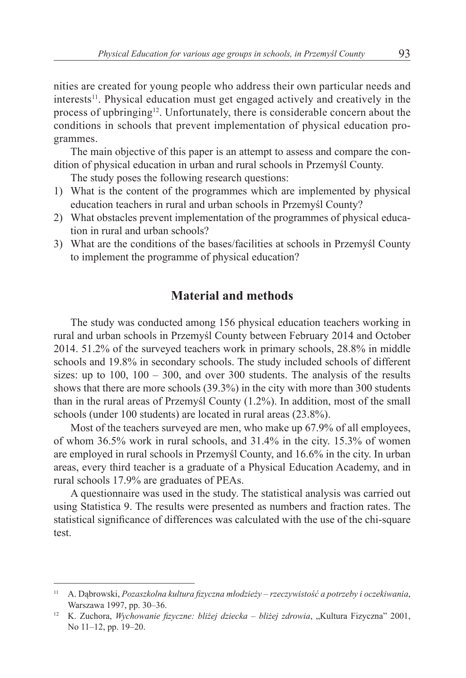nities are created for young people who address their own particular needs and interests<sup>11</sup>. Physical education must get engaged actively and creatively in the process of upbringing<sup>12</sup>. Unfortunately, there is considerable concern about the conditions in schools that prevent implementation of physical education programmes.

The main objective of this paper is an attempt to assess and compare the condition of physical education in urban and rural schools in Przemyśl County.

The study poses the following research questions:

- 1) What is the content of the programmes which are implemented by physical education teachers in rural and urban schools in Przemyśl County?
- 2) What obstacles prevent implementation of the programmes of physical education in rural and urban schools?
- 3) What are the conditions of the bases/facilities at schools in Przemyśl County to implement the programme of physical education?

## **Material and methods**

The study was conducted among 156 physical education teachers working in rural and urban schools in Przemyśl County between February 2014 and October 2014. 51.2% of the surveyed teachers work in primary schools, 28.8% in middle schools and 19.8% in secondary schools. The study included schools of different sizes: up to  $100$ ,  $100 - 300$ , and over 300 students. The analysis of the results shows that there are more schools (39.3%) in the city with more than 300 students than in the rural areas of Przemyśl County (1.2%). In addition, most of the small schools (under 100 students) are located in rural areas (23.8%).

Most of the teachers surveyed are men, who make up 67.9% of all employees, of whom 36.5% work in rural schools, and 31.4% in the city. 15.3% of women are employed in rural schools in Przemyśl County, and 16.6% in the city. In urban areas, every third teacher is a graduate of a Physical Education Academy, and in rural schools 17.9% are graduates of PEAs.

A questionnaire was used in the study. The statistical analysis was carried out using Statistica 9. The results were presented as numbers and fraction rates. The statistical significance of differences was calculated with the use of the chi-square test.

<sup>11</sup> A. Dąbrowski, *Pozaszkolna kultura fizyczna młodzieży – rzeczywistość a potrzeby i oczekiwania*, Warszawa 1997, pp. 30–36.

<sup>&</sup>lt;sup>12</sup> K. Zuchora, *Wychowanie fizyczne: bliżej dziecka – bliżej zdrowia*, "Kultura Fizyczna" 2001, No 11–12, pp. 19–20.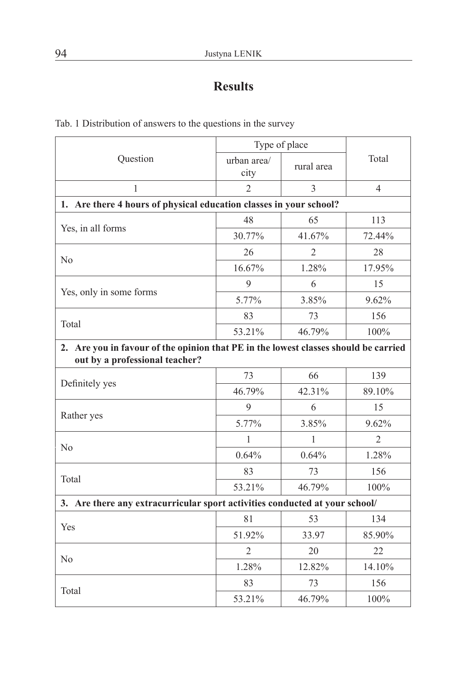## **Results**

| Question                                                                                                              | Type of place       |                |                          |  |
|-----------------------------------------------------------------------------------------------------------------------|---------------------|----------------|--------------------------|--|
|                                                                                                                       | urban area/<br>city | rural area     | Total                    |  |
| $\mathbf{1}$                                                                                                          | $\overline{2}$      | 3              | $\overline{\mathcal{L}}$ |  |
| 1. Are there 4 hours of physical education classes in your school?                                                    |                     |                |                          |  |
|                                                                                                                       | 48                  | 65             | 113                      |  |
| Yes, in all forms                                                                                                     | 30.77%              | 41.67%         | 72.44%                   |  |
| N <sub>0</sub>                                                                                                        | 26                  | $\overline{2}$ | 28                       |  |
|                                                                                                                       | 16.67%              | 1.28%          | 17.95%                   |  |
|                                                                                                                       | 9                   | 6              | 15                       |  |
| Yes, only in some forms                                                                                               | 5.77%               | 3.85%          | 9.62%                    |  |
|                                                                                                                       | 83                  | 73             | 156                      |  |
| Total                                                                                                                 | 53.21%              | 46.79%         | 100%                     |  |
| 2. Are you in favour of the opinion that PE in the lowest classes should be carried<br>out by a professional teacher? |                     |                |                          |  |
|                                                                                                                       | 73                  | 66             | 139                      |  |
| Definitely yes                                                                                                        | 46.79%              | 42.31%         | 89.10%                   |  |
|                                                                                                                       | 9                   | 6              | 15                       |  |
| Rather yes                                                                                                            | 5.77%               | 3.85%          | 9.62%                    |  |
| N <sub>o</sub>                                                                                                        | 1                   | 1              | $\overline{2}$           |  |
|                                                                                                                       | 0.64%               | 0.64%          | 1.28%                    |  |
|                                                                                                                       | 83                  | 73             | 156                      |  |
| Total                                                                                                                 | 53.21%              | 46.79%         | 100%                     |  |
| 3. Are there any extracurricular sport activities conducted at your school/                                           |                     |                |                          |  |
| Yes                                                                                                                   | 81                  | 53             | 134                      |  |
|                                                                                                                       | 51.92%              | 33.97          | 85.90%                   |  |
| N <sub>o</sub>                                                                                                        | $\overline{2}$      | 20             | 22                       |  |
|                                                                                                                       | 1.28%               | 12.82%         | 14.10%                   |  |
|                                                                                                                       | 83                  | 73             | 156                      |  |
| Total                                                                                                                 | 53.21%              | 46.79%         | 100%                     |  |

Tab. 1 Distribution of answers to the questions in the survey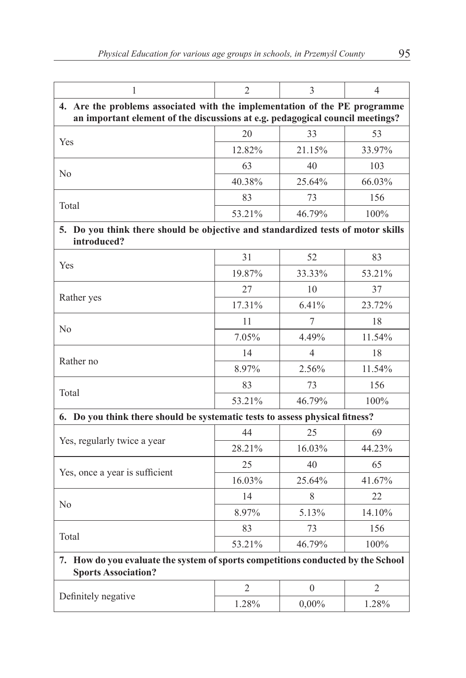| 1                                                                                                                                                           | $\overline{2}$                                                                   | 3                | 4              |  |  |
|-------------------------------------------------------------------------------------------------------------------------------------------------------------|----------------------------------------------------------------------------------|------------------|----------------|--|--|
| 4. Are the problems associated with the implementation of the PE programme<br>an important element of the discussions at e.g. pedagogical council meetings? |                                                                                  |                  |                |  |  |
| Yes                                                                                                                                                         | 20                                                                               | 33               | 53             |  |  |
|                                                                                                                                                             | 12.82%                                                                           | 21.15%           | 33.97%         |  |  |
|                                                                                                                                                             | 63                                                                               | 40               | 103            |  |  |
| N <sub>0</sub>                                                                                                                                              | 40.38%                                                                           | 25.64%           | 66.03%         |  |  |
|                                                                                                                                                             | 83                                                                               | 73               | 156            |  |  |
| Total                                                                                                                                                       | 53.21%                                                                           | 46.79%           | 100%           |  |  |
| introduced?                                                                                                                                                 | 5. Do you think there should be objective and standardized tests of motor skills |                  |                |  |  |
| Yes                                                                                                                                                         | 31                                                                               | 52               | 83             |  |  |
|                                                                                                                                                             | 19.87%                                                                           | 33.33%           | 53.21%         |  |  |
|                                                                                                                                                             | 27                                                                               | 10               | 37             |  |  |
| Rather yes                                                                                                                                                  | 17.31%                                                                           | 6.41%            | 23.72%         |  |  |
| N <sub>0</sub>                                                                                                                                              | 11                                                                               | 7                | 18             |  |  |
|                                                                                                                                                             | 7.05%                                                                            | 4.49%            | 11.54%         |  |  |
| Rather no                                                                                                                                                   | 14                                                                               | 4                | 18             |  |  |
|                                                                                                                                                             | 8.97%                                                                            | 2.56%            | 11.54%         |  |  |
| Total                                                                                                                                                       | 83                                                                               | 73               | 156            |  |  |
|                                                                                                                                                             | 53.21%                                                                           | 46.79%           | 100%           |  |  |
| 6. Do you think there should be systematic tests to assess physical fitness?                                                                                |                                                                                  |                  |                |  |  |
| Yes, regularly twice a year                                                                                                                                 | 44                                                                               | 25               | 69             |  |  |
|                                                                                                                                                             | 28.21%                                                                           | 16.03%           | 44.23%         |  |  |
| Yes, once a year is sufficient                                                                                                                              | 25                                                                               | 40               | 65             |  |  |
|                                                                                                                                                             | 16.03%                                                                           | 25.64%           | 41.67%         |  |  |
| No                                                                                                                                                          | 14                                                                               | 8                | 22             |  |  |
|                                                                                                                                                             | 8.97%                                                                            | 5.13%            | 14.10%         |  |  |
| Total                                                                                                                                                       | 83                                                                               | 73               | 156            |  |  |
|                                                                                                                                                             | 53.21%                                                                           | 46.79%           | 100%           |  |  |
| 7. How do you evaluate the system of sports competitions conducted by the School<br><b>Sports Association?</b>                                              |                                                                                  |                  |                |  |  |
| Definitely negative                                                                                                                                         | $\mathfrak{2}$                                                                   | $\boldsymbol{0}$ | $\overline{2}$ |  |  |
|                                                                                                                                                             | 1.28%                                                                            | $0,00\%$         | 1.28%          |  |  |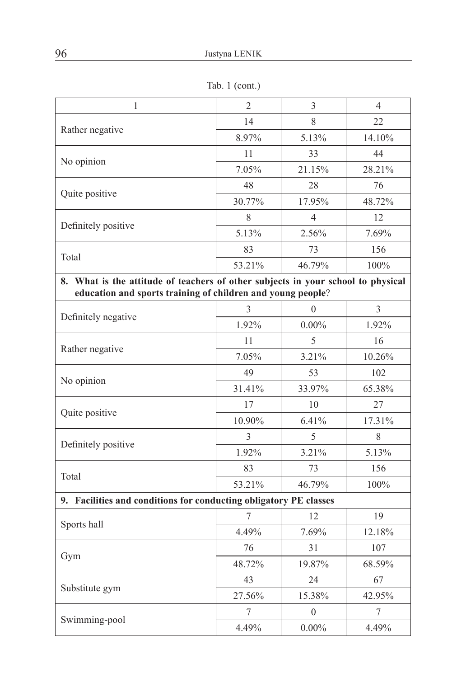Tab. 1 (cont.)

| $\mathbf{1}$                                                                     | $\overline{2}$ | 3                | 4              |  |
|----------------------------------------------------------------------------------|----------------|------------------|----------------|--|
|                                                                                  | 14             | 8                | 22             |  |
| Rather negative                                                                  | 8.97%          | 5.13%            | 14.10%         |  |
| No opinion                                                                       | 11             | 33               | 44             |  |
|                                                                                  | 7.05%          | 21.15%           | 28.21%         |  |
|                                                                                  | 48             | 28               | 76             |  |
| Quite positive                                                                   | 30.77%         | 17.95%           | 48.72%         |  |
|                                                                                  | 8              | $\overline{4}$   | 12             |  |
| Definitely positive                                                              | 5.13%          | 2.56%            | 7.69%          |  |
|                                                                                  | 83             | 73               | 156            |  |
| Total                                                                            | 53.21%         | 46.79%           | 100%           |  |
| 8. What is the attitude of teachers of other subjects in your school to physical |                |                  |                |  |
| education and sports training of children and young people?                      |                |                  |                |  |
|                                                                                  | 3              | 0                | $\overline{3}$ |  |
| Definitely negative                                                              | 1.92%          | $0.00\%$         | 1.92%          |  |
|                                                                                  | 11             | 5                | 16             |  |
| Rather negative                                                                  | 7.05%          | 3.21%            | 10.26%         |  |
| No opinion                                                                       | 49             | 53               | 102            |  |
|                                                                                  | 31.41%         | 33.97%           | 65.38%         |  |
| Quite positive                                                                   | 17             | 10               | 27             |  |
|                                                                                  | 10.90%         | 6.41%            | 17.31%         |  |
| Definitely positive                                                              | 3              | 5                | 8              |  |
|                                                                                  | 1.92%          | 3.21%            | 5.13%          |  |
| Total                                                                            | 83             | 73               | 156            |  |
|                                                                                  | 53.21%         | 46.79%           | 100%           |  |
| 9. Facilities and conditions for conducting obligatory PE classes                |                |                  |                |  |
|                                                                                  | 7              | 12               | 19             |  |
| Sports hall                                                                      | 4.49%          | 7.69%            | 12.18%         |  |
| Gym                                                                              | 76             | 31               | 107            |  |
|                                                                                  | 48.72%         | 19.87%           | 68.59%         |  |
| Substitute gym                                                                   | 43             | 24               | 67             |  |
|                                                                                  | 27.56%         | 15.38%           | 42.95%         |  |
|                                                                                  | 7              | $\boldsymbol{0}$ | 7              |  |
| Swimming-pool                                                                    | 4.49%          | $0.00\%$         | 4.49%          |  |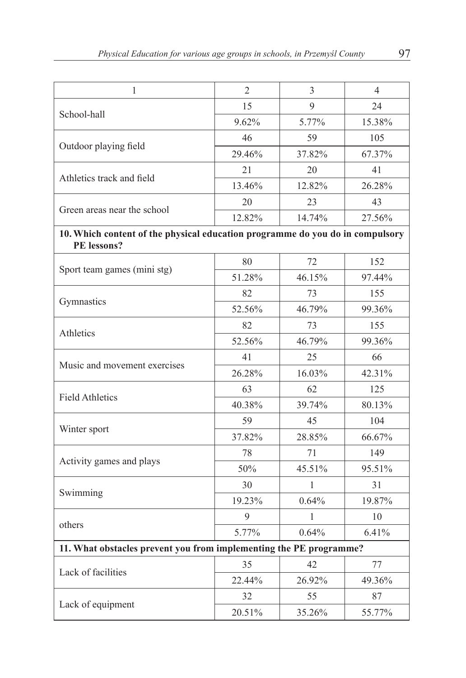| 1                                                                                            | $\overline{2}$ | 3      | 4      |
|----------------------------------------------------------------------------------------------|----------------|--------|--------|
|                                                                                              | 15             | 9      | 24     |
| School-hall                                                                                  | 9.62%          | 5.77%  | 15.38% |
|                                                                                              | 46             | 59     | 105    |
| Outdoor playing field                                                                        | 29.46%         | 37.82% | 67.37% |
|                                                                                              | 21             | 20     | 41     |
| Athletics track and field                                                                    | 13.46%         | 12.82% | 26.28% |
| Green areas near the school                                                                  | 20             | 23     | 43     |
|                                                                                              | 12.82%         | 14.74% | 27.56% |
| 10. Which content of the physical education programme do you do in compulsory<br>PE lessons? |                |        |        |
|                                                                                              | 80             | 72     | 152    |
| Sport team games (mini stg)                                                                  | 51.28%         | 46.15% | 97.44% |
|                                                                                              | 82             | 73     | 155    |
| Gymnastics                                                                                   | 52.56%         | 46.79% | 99.36% |
| Athletics                                                                                    | 82             | 73     | 155    |
|                                                                                              | 52.56%         | 46.79% | 99.36% |
| Music and movement exercises                                                                 | 41             | 25     | 66     |
|                                                                                              | 26.28%         | 16.03% | 42.31% |
|                                                                                              | 63             | 62     | 125    |
| <b>Field Athletics</b>                                                                       | 40.38%         | 39.74% | 80.13% |
| Winter sport                                                                                 | 59             | 45     | 104    |
|                                                                                              | 37.82%         | 28.85% | 66.67% |
| Activity games and plays                                                                     | 78             | 71     | 149    |
|                                                                                              | 50%            | 45.51% | 95.51% |
|                                                                                              | 30             | 1      | 31     |
| Swimming                                                                                     | 19.23%         | 0.64%  | 19.87% |
|                                                                                              | 9              | 1      | 10     |
| others                                                                                       | 5.77%          | 0.64%  | 6.41%  |
| 11. What obstacles prevent you from implementing the PE programme?                           |                |        |        |
| Lack of facilities                                                                           | 35             | 42     | 77     |
|                                                                                              | 22.44%         | 26.92% | 49.36% |
| Lack of equipment                                                                            | 32             | 55     | 87     |
|                                                                                              | 20.51%         | 35.26% | 55.77% |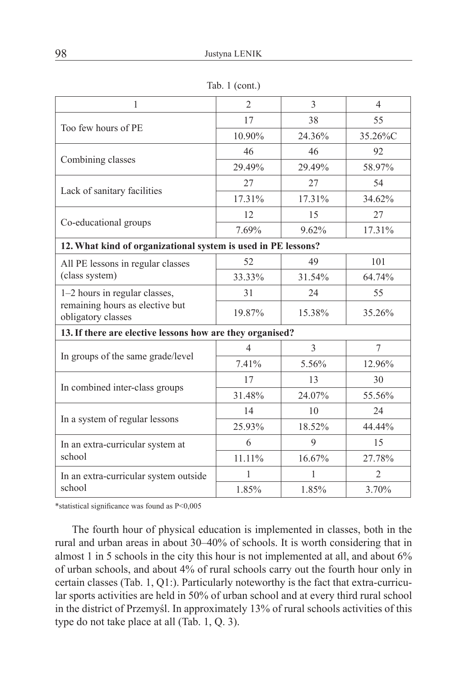|  | Tab. $1$ (cont.) |  |
|--|------------------|--|
|  |                  |  |

| 1                                                             | $\overline{c}$           | 3              | $\overline{4}$ |  |
|---------------------------------------------------------------|--------------------------|----------------|----------------|--|
|                                                               | 17                       | 38             | 55             |  |
| Too few hours of PE                                           | 10.90%                   | 24.36%         | 35.26%C        |  |
| Combining classes                                             | 46                       | 46             | 92             |  |
|                                                               | 29.49%                   | 29.49%         | 58.97%         |  |
| Lack of sanitary facilities                                   | 27                       | 27             | 54             |  |
|                                                               | 17.31%                   | 17.31%         | 34.62%         |  |
| Co-educational groups                                         | 12                       | 15             | 27             |  |
|                                                               | 7.69%                    | 9.62%          | 17.31%         |  |
| 12. What kind of organizational system is used in PE lessons? |                          |                |                |  |
| All PE lessons in regular classes                             | 52                       | 49             | 101            |  |
| (class system)                                                | 33.33%                   | 31.54%         | 64.74%         |  |
| 1-2 hours in regular classes,                                 | 31                       | 24             | 55             |  |
| remaining hours as elective but<br>obligatory classes         | 19.87%                   | 15.38%         | 35.26%         |  |
| 13. If there are elective lessons how are they organised?     |                          |                |                |  |
| In groups of the same grade/level                             | $\overline{\mathcal{A}}$ | $\overline{3}$ | $\tau$         |  |
|                                                               | 7.41%                    | 5.56%          | 12.96%         |  |
| In combined inter-class groups                                | 17                       | 13             | 30             |  |
|                                                               | 31.48%                   | 24.07%         | 55.56%         |  |
|                                                               | 14                       | 10             | 24             |  |
| In a system of regular lessons                                | 25.93%                   | 18.52%         | 44.44%         |  |
| In an extra-curricular system at                              | 6                        | 9              | 15             |  |
| school                                                        | 11.11%                   | 16.67%         | 27.78%         |  |
| In an extra-curricular system outside                         | 1                        | 1              | $\overline{2}$ |  |
| school                                                        | 1.85%                    | 1.85%          | 3.70%          |  |

\*statistical significance was found as P<0,005

The fourth hour of physical education is implemented in classes, both in the rural and urban areas in about 30*–*40% of schools. It is worth considering that in almost 1 in 5 schools in the city this hour is not implemented at all, and about 6% of urban schools, and about 4% of rural schools carry out the fourth hour only in certain classes (Tab. 1, Q1:). Particularly noteworthy is the fact that extra-curricular sports activities are held in 50% of urban school and at every third rural school in the district of Przemyśl. In approximately 13% of rural schools activities of this type do not take place at all (Tab. 1, Q. 3).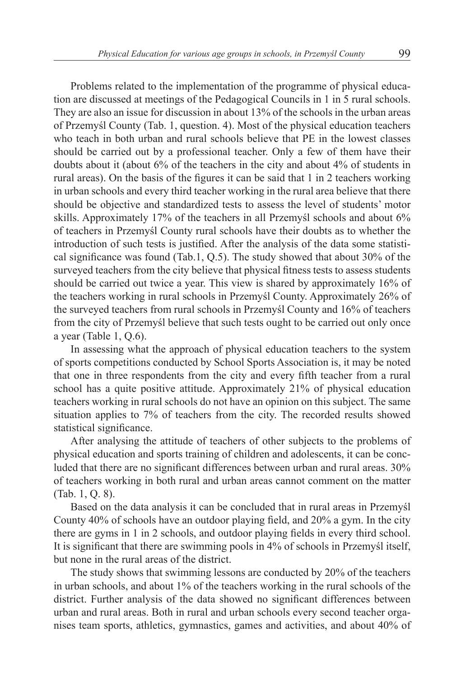Problems related to the implementation of the programme of physical education are discussed at meetings of the Pedagogical Councils in 1 in 5 rural schools. They are also an issue for discussion in about 13% of the schools in the urban areas of Przemyśl County (Tab. 1, question. 4). Most of the physical education teachers who teach in both urban and rural schools believe that PE in the lowest classes should be carried out by a professional teacher. Only a few of them have their doubts about it (about 6% of the teachers in the city and about 4% of students in rural areas). On the basis of the figures it can be said that 1 in 2 teachers working in urban schools and every third teacher working in the rural area believe that there should be objective and standardized tests to assess the level of students' motor skills. Approximately 17% of the teachers in all Przemyśl schools and about 6% of teachers in Przemyśl County rural schools have their doubts as to whether the introduction of such tests is justified. After the analysis of the data some statistical significance was found (Tab.1, Q.5). The study showed that about 30% of the surveyed teachers from the city believe that physical fitness tests to assess students should be carried out twice a year. This view is shared by approximately 16% of the teachers working in rural schools in Przemyśl County. Approximately 26% of the surveyed teachers from rural schools in Przemyśl County and 16% of teachers from the city of Przemyśl believe that such tests ought to be carried out only once a year (Table 1, Q.6).

In assessing what the approach of physical education teachers to the system of sports competitions conducted by School Sports Association is, it may be noted that one in three respondents from the city and every fifth teacher from a rural school has a quite positive attitude. Approximately 21% of physical education teachers working in rural schools do not have an opinion on this subject. The same situation applies to 7% of teachers from the city. The recorded results showed statistical significance.

After analysing the attitude of teachers of other subjects to the problems of physical education and sports training of children and adolescents, it can be concluded that there are no significant differences between urban and rural areas. 30% of teachers working in both rural and urban areas cannot comment on the matter (Tab. 1, Q. 8).

Based on the data analysis it can be concluded that in rural areas in Przemyśl County 40% of schools have an outdoor playing field, and 20% a gym. In the city there are gyms in 1 in 2 schools, and outdoor playing fields in every third school. It is significant that there are swimming pools in 4% of schools in Przemyśl itself, but none in the rural areas of the district.

The study shows that swimming lessons are conducted by 20% of the teachers in urban schools, and about 1% of the teachers working in the rural schools of the district. Further analysis of the data showed no significant differences between urban and rural areas. Both in rural and urban schools every second teacher organises team sports, athletics, gymnastics, games and activities, and about 40% of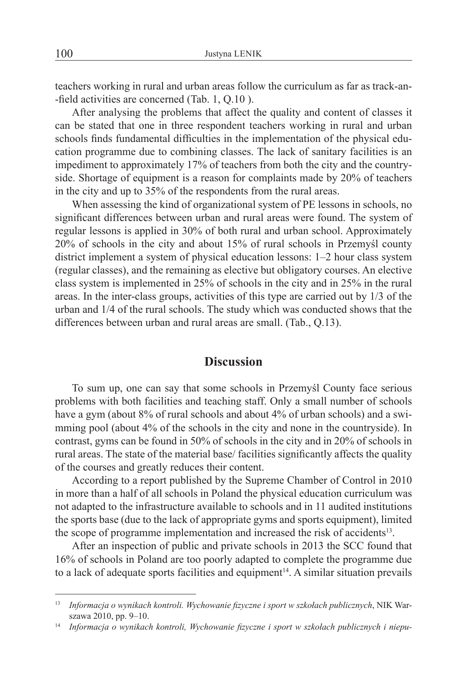teachers working in rural and urban areas follow the curriculum as far as track-an- -field activities are concerned (Tab. 1, Q.10 ).

After analysing the problems that affect the quality and content of classes it can be stated that one in three respondent teachers working in rural and urban schools finds fundamental difficulties in the implementation of the physical education programme due to combining classes. The lack of sanitary facilities is an impediment to approximately 17% of teachers from both the city and the countryside. Shortage of equipment is a reason for complaints made by 20% of teachers in the city and up to 35% of the respondents from the rural areas.

When assessing the kind of organizational system of PE lessons in schools, no significant differences between urban and rural areas were found. The system of regular lessons is applied in 30% of both rural and urban school. Approximately 20% of schools in the city and about 15% of rural schools in Przemyśl county district implement a system of physical education lessons: 1–2 hour class system (regular classes), and the remaining as elective but obligatory courses. An elective class system is implemented in 25% of schools in the city and in 25% in the rural areas. In the inter-class groups, activities of this type are carried out by 1/3 of the urban and 1/4 of the rural schools. The study which was conducted shows that the differences between urban and rural areas are small. (Tab., Q.13).

#### **Discussion**

To sum up, one can say that some schools in Przemyśl County face serious problems with both facilities and teaching staff. Only a small number of schools have a gym (about 8% of rural schools and about 4% of urban schools) and a swimming pool (about 4% of the schools in the city and none in the countryside). In contrast, gyms can be found in 50% of schools in the city and in 20% of schools in rural areas. The state of the material base/ facilities significantly affects the quality of the courses and greatly reduces their content.

According to a report published by the Supreme Chamber of Control in 2010 in more than a half of all schools in Poland the physical education curriculum was not adapted to the infrastructure available to schools and in 11 audited institutions the sports base (due to the lack of appropriate gyms and sports equipment), limited the scope of programme implementation and increased the risk of accidents<sup>13</sup>.

After an inspection of public and private schools in 2013 the SCC found that 16% of schools in Poland are too poorly adapted to complete the programme due to a lack of adequate sports facilities and equipment<sup>14</sup>. A similar situation prevails

<sup>13</sup> *Informacja o wynikach kontroli. Wychowanie fizyczne i sport w szkołach publicznych*, NIK Warszawa 2010, pp. 9–10.

<sup>14</sup> *Informacja o wynikach kontroli, Wychowanie fizyczne i sport w szkołach publicznych i niepu-*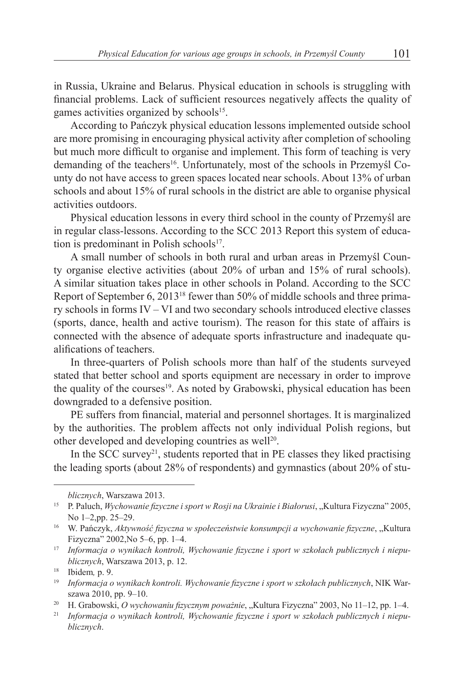in Russia, Ukraine and Belarus. Physical education in schools is struggling with financial problems. Lack of sufficient resources negatively affects the quality of games activities organized by schools<sup>15</sup>.

According to Pańczyk physical education lessons implemented outside school are more promising in encouraging physical activity after completion of schooling but much more difficult to organise and implement. This form of teaching is very demanding of the teachers<sup>16</sup>. Unfortunately, most of the schools in Przemyśl County do not have access to green spaces located near schools. About 13% of urban schools and about 15% of rural schools in the district are able to organise physical activities outdoors.

Physical education lessons in every third school in the county of Przemyśl are in regular class-lessons. According to the SCC 2013 Report this system of education is predominant in Polish schools $17$ .

A small number of schools in both rural and urban areas in Przemyśl County organise elective activities (about 20% of urban and 15% of rural schools). A similar situation takes place in other schools in Poland. According to the SCC Report of September 6, 201318 fewer than 50% of middle schools and three primary schools in forms IV – VI and two secondary schools introduced elective classes (sports, dance, health and active tourism). The reason for this state of affairs is connected with the absence of adequate sports infrastructure and inadequate qualifications of teachers.

In three-quarters of Polish schools more than half of the students surveyed stated that better school and sports equipment are necessary in order to improve the quality of the courses<sup>19</sup>. As noted by Grabowski, physical education has been downgraded to a defensive position.

PE suffers from financial, material and personnel shortages. It is marginalized by the authorities. The problem affects not only individual Polish regions, but other developed and developing countries as well<sup>20</sup>.

In the SCC survey<sup>21</sup>, students reported that in PE classes they liked practising the leading sports (about 28% of respondents) and gymnastics (about 20% of stu-

*blicznych*, Warszawa 2013.

<sup>15</sup> P. Paluch, *Wychowanie fizyczne i sport w Rosji na Ukrainie i Białorusi*, "Kultura Fizyczna" 2005, No 1–2,pp. 25–29.

<sup>&</sup>lt;sup>16</sup> W. Pańczyk, Aktywność fizyczna w społeczeństwie konsumpcji a wychowanie fizyczne, "Kultura Fizyczna" 2002,No 5–6, pp. 1–4.

<sup>17</sup> *Informacja o wynikach kontroli, Wychowanie fizyczne i sport w szkołach publicznych i niepublicznych*, Warszawa 2013, p. 12.

<sup>18</sup> Ibidem*,* p. 9.

<sup>19</sup> *Informacja o wynikach kontroli. Wychowanie fizyczne i sport w szkołach publicznych*, NIK Warszawa 2010, pp. 9–10.

<sup>&</sup>lt;sup>20</sup> H. Grabowski, *O wychowaniu fizycznym poważnie*, "Kultura Fizyczna" 2003, No 11–12, pp. 1–4.

<sup>21</sup> *Informacja o wynikach kontroli, Wychowanie fizyczne i sport w szkołach publicznych i niepublicznych*.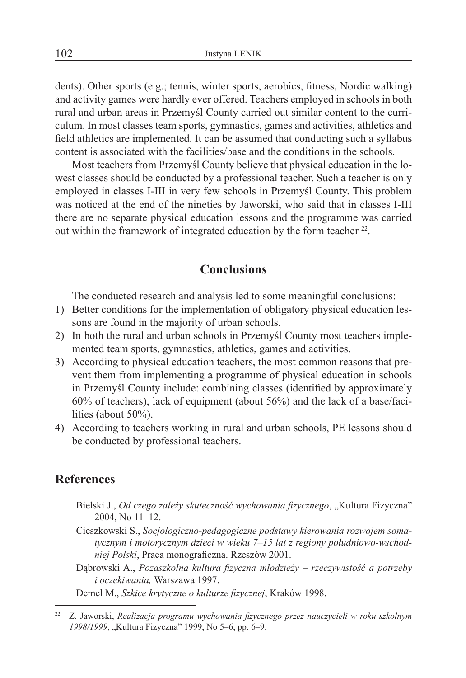dents). Other sports (e.g.; tennis, winter sports, aerobics, fitness, Nordic walking) and activity games were hardly ever offered. Teachers employed in schools in both rural and urban areas in Przemyśl County carried out similar content to the curriculum. In most classes team sports, gymnastics, games and activities, athletics and field athletics are implemented. It can be assumed that conducting such a syllabus content is associated with the facilities/base and the conditions in the schools.

Most teachers from Przemyśl County believe that physical education in the lowest classes should be conducted by a professional teacher. Such a teacher is only employed in classes I-III in very few schools in Przemyśl County. This problem was noticed at the end of the nineties by Jaworski, who said that in classes I-III there are no separate physical education lessons and the programme was carried out within the framework of integrated education by the form teacher <sup>22</sup>.

## **Conclusions**

The conducted research and analysis led to some meaningful conclusions:

- 1) Better conditions for the implementation of obligatory physical education lessons are found in the majority of urban schools.
- 2) In both the rural and urban schools in Przemyśl County most teachers implemented team sports, gymnastics, athletics, games and activities.
- 3) According to physical education teachers, the most common reasons that prevent them from implementing a programme of physical education in schools in Przemyśl County include: combining classes (identified by approximately 60% of teachers), lack of equipment (about 56%) and the lack of a base/facilities (about 50%).
- 4) According to teachers working in rural and urban schools, PE lessons should be conducted by professional teachers.

## **References**

- Bielski J., Od czego zależy skuteczność wychowania fizycznego, "Kultura Fizyczna" 2004, No 11–12.
- Cieszkowski S., *Socjologiczno-pedagogiczne podstawy kierowania rozwojem somatycznym i motorycznym dzieci w wieku 7–15 lat z regiony południowo-wschodniej Polski*, Praca monograficzna. Rzeszów 2001.
- Dąbrowski A., *Pozaszkolna kultura fizyczna młodzieży rzeczywistość a potrzeby i oczekiwania,* Warszawa 1997.

Demel M., *Szkice krytyczne o kulturze fizycznej*, Kraków 1998.

<sup>22</sup> Z. Jaworski, *Realizacja programu wychowania fizycznego przez nauczycieli w roku szkolnym*  1998/1999, "Kultura Fizyczna" 1999, No 5–6, pp. 6–9.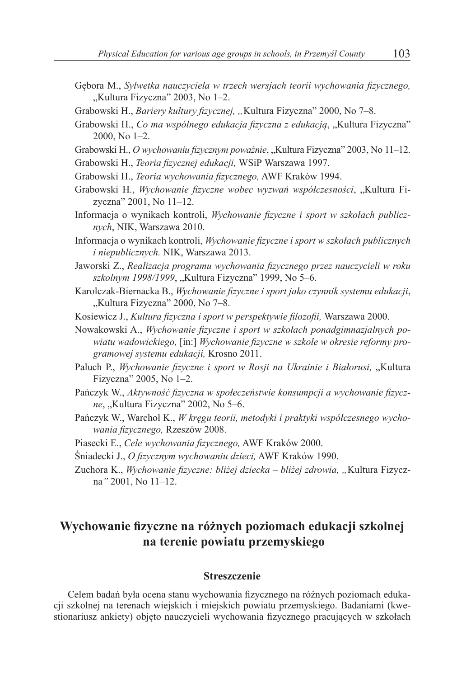- Gębora M., *Sylwetka nauczyciela w trzech wersjach teorii wychowania fizycznego,* "Kultura Fizyczna" 2003, No 1–2.
- Grabowski H., *Bariery kultury fizycznej, "*Kultura Fizyczna" 2000, No 7–8.
- Grabowski H., Co ma wspólnego edukacja fizyczna z edukacją, "Kultura Fizyczna" 2000, No 1*–*2.
- Grabowski H., O wychowaniu fizycznym poważnie, "Kultura Fizyczna" 2003, No 11-12.
- Grabowski H., *Teoria fizycznej edukacji,* WSiP Warszawa 1997.
- Grabowski H., *Teoria wychowania fizycznego,* AWF Kraków 1994.
- Grabowski H., *Wychowanie fizyczne wobec wyzwań współczesności*, "Kultura Fizyczna" 2001, No 11*–*12.
- Informacja o wynikach kontroli, *Wychowanie fizyczne i sport w szkołach publicznych*, NIK, Warszawa 2010.
- Informacja o wynikach kontroli, *Wychowanie fizyczne i sport w szkołach publicznych i niepublicznych.* NIK, Warszawa 2013.
- Jaworski Z., *Realizacja programu wychowania fizycznego przez nauczycieli w roku szkolnym 1998/1999*, "Kultura Fizyczna" 1999, No 5*–*6.
- Karolczak-Biernacka B., *Wychowanie fizyczne i sport jako czynnik systemu edukacji*, "Kultura Fizyczna" 2000, No 7-8.
- Kosiewicz J., *Kultura fizyczna i sport w perspektywie filozofii,* Warszawa 2000.
- Nowakowski A., *Wychowanie fizyczne i sport w szkołach ponadgimnazjalnych powiatu wadowickiego,* [in:] *Wychowanie fizyczne w szkole w okresie reformy programowej systemu edukacji,* Krosno 2011.
- Paluch P., *Wychowanie fizyczne i sport w Rosji na Ukrainie i Białorusi*, "Kultura Fizyczna" 2005, No 1*–*2.
- Pańczyk W., *Aktywność fizyczna w społeczeństwie konsumpcji a wychowanie fizyczne*, "Kultura Fizyczna" 2002, No 5*–*6.
- Pańczyk W., Warchoł K., *W kręgu teorii, metodyki i praktyki współczesnego wychowania fizycznego,* Rzeszów 2008.
- Piasecki E., *Cele wychowania fizycznego,* AWF Kraków 2000.
- Śniadecki J., *O fizycznym wychowaniu dzieci,* AWF Kraków 1990.
- Zuchora K., Wychowanie fizyczne: bliżej dziecka bliżej zdrowia, "Kultura Fizyczna*"* 2001, No 11*–*12.

## **Wychowanie fizyczne na różnych poziomach edukacji szkolnej na terenie powiatu przemyskiego**

#### **Streszczenie**

Celem badań była ocena stanu wychowania fizycznego na różnych poziomach edukacji szkolnej na terenach wiejskich i miejskich powiatu przemyskiego. Badaniami (kwestionariusz ankiety) objęto nauczycieli wychowania fizycznego pracujących w szkołach